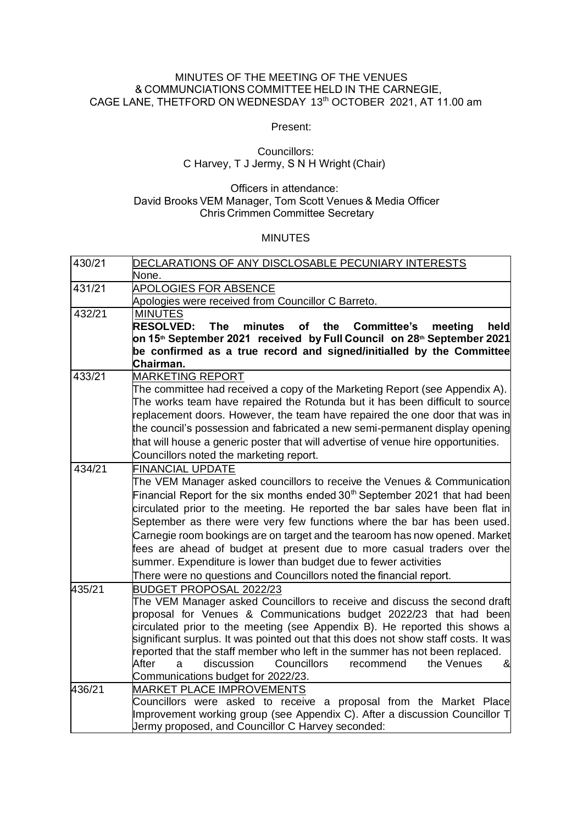### MINUTES OF THE MEETING OF THE VENUES & COMMUNCIATIONS COMMITTEE HELD IN THE CARNEGIE, CAGE LANE, THETFORD ON WEDNESDAY  13th OCTOBER  2021, AT 11.00 am

Present:

### Councillors:     C Harvey, T J Jermy, S N H Wright (Chair)

### Officers in attendance:      David Brooks VEM Manager, Tom Scott Venues & Media Officer    Chris Crimmen Committee Secretary

#### MINUTES

| 430/21                                                                            | DECLARATIONS OF ANY DISCLOSABLE PECUNIARY INTERESTS                                                                                                                    |  |  |  |  |
|-----------------------------------------------------------------------------------|------------------------------------------------------------------------------------------------------------------------------------------------------------------------|--|--|--|--|
|                                                                                   | None.                                                                                                                                                                  |  |  |  |  |
| 431/21                                                                            | <b>APOLOGIES FOR ABSENCE</b>                                                                                                                                           |  |  |  |  |
|                                                                                   | Apologies were received from Councillor C Barreto.                                                                                                                     |  |  |  |  |
| 432/21                                                                            | <b>MINUTES</b>                                                                                                                                                         |  |  |  |  |
|                                                                                   | <b>RESOLVED:</b><br>minutes<br>held<br><b>The</b><br>of the Committee's<br>meeting                                                                                     |  |  |  |  |
|                                                                                   | on 15 <sup>th</sup> September 2021 received by Full Council on 28 <sup>th</sup> September 2021<br>be confirmed as a true record and signed/initialled by the Committee |  |  |  |  |
|                                                                                   |                                                                                                                                                                        |  |  |  |  |
|                                                                                   | Chairman.                                                                                                                                                              |  |  |  |  |
| 433/21                                                                            | <b>MARKETING REPORT</b>                                                                                                                                                |  |  |  |  |
|                                                                                   | The committee had received a copy of the Marketing Report (see Appendix A).                                                                                            |  |  |  |  |
|                                                                                   | The works team have repaired the Rotunda but it has been difficult to source                                                                                           |  |  |  |  |
|                                                                                   | replacement doors. However, the team have repaired the one door that was in                                                                                            |  |  |  |  |
|                                                                                   | the council's possession and fabricated a new semi-permanent display opening                                                                                           |  |  |  |  |
| that will house a generic poster that will advertise of venue hire opportunities. |                                                                                                                                                                        |  |  |  |  |
|                                                                                   | Councillors noted the marketing report.                                                                                                                                |  |  |  |  |
| 434/21                                                                            | <b>FINANCIAL UPDATE</b>                                                                                                                                                |  |  |  |  |
|                                                                                   | The VEM Manager asked councillors to receive the Venues & Communication                                                                                                |  |  |  |  |
|                                                                                   | Financial Report for the six months ended 30 <sup>th</sup> September 2021 that had been                                                                                |  |  |  |  |
|                                                                                   | circulated prior to the meeting. He reported the bar sales have been flat in                                                                                           |  |  |  |  |
|                                                                                   | September as there were very few functions where the bar has been used.                                                                                                |  |  |  |  |
|                                                                                   | Carnegie room bookings are on target and the tearoom has now opened. Market                                                                                            |  |  |  |  |
|                                                                                   | fees are ahead of budget at present due to more casual traders over the                                                                                                |  |  |  |  |
|                                                                                   | summer. Expenditure is lower than budget due to fewer activities                                                                                                       |  |  |  |  |
|                                                                                   | There were no questions and Councillors noted the financial report.                                                                                                    |  |  |  |  |
| 435/21                                                                            | <b>BUDGET PROPOSAL 2022/23</b>                                                                                                                                         |  |  |  |  |
|                                                                                   | The VEM Manager asked Councillors to receive and discuss the second draft                                                                                              |  |  |  |  |
|                                                                                   | proposal for Venues & Communications budget 2022/23 that had been                                                                                                      |  |  |  |  |
|                                                                                   | circulated prior to the meeting (see Appendix B). He reported this shows a                                                                                             |  |  |  |  |
|                                                                                   | significant surplus. It was pointed out that this does not show staff costs. It was                                                                                    |  |  |  |  |
|                                                                                   | reported that the staff member who left in the summer has not been replaced.                                                                                           |  |  |  |  |
|                                                                                   | After<br>discussion<br><b>Councillors</b><br>recommend<br>the Venues<br>a<br>&                                                                                         |  |  |  |  |
|                                                                                   | Communications budget for 2022/23.                                                                                                                                     |  |  |  |  |
| 436/21                                                                            | <b>MARKET PLACE IMPROVEMENTS</b>                                                                                                                                       |  |  |  |  |
|                                                                                   | Councillors were asked to receive a proposal from the Market Place<br>Improvement working group (see Appendix C). After a discussion Councillor T                      |  |  |  |  |
|                                                                                   | Jermy proposed, and Councillor C Harvey seconded:                                                                                                                      |  |  |  |  |
|                                                                                   |                                                                                                                                                                        |  |  |  |  |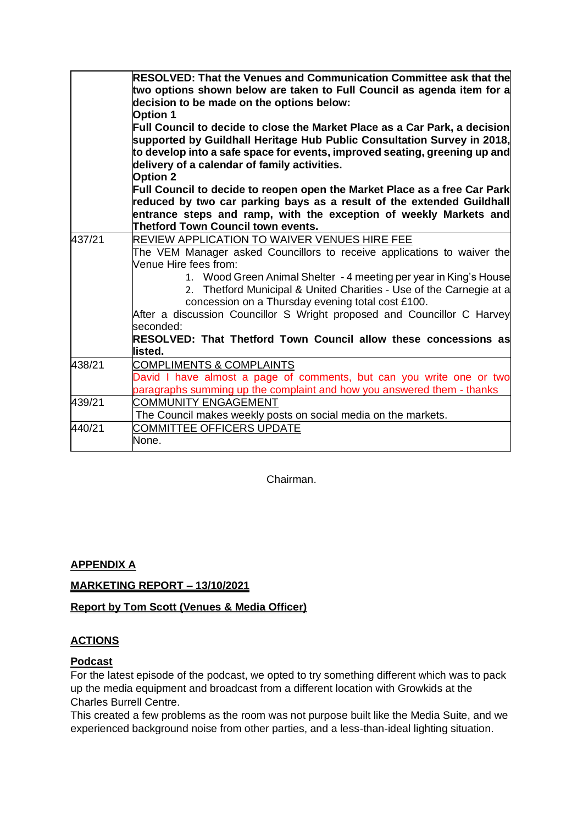|        | <b>RESOLVED: That the Venues and Communication Committee ask that the</b><br>two options shown below are taken to Full Council as agenda item for a<br>decision to be made on the options below:<br><b>Option 1</b><br>Full Council to decide to close the Market Place as a Car Park, a decision<br>supported by Guildhall Heritage Hub Public Consultation Survey in 2018,<br>to develop into a safe space for events, improved seating, greening up and<br>delivery of a calendar of family activities.<br><b>Option 2</b><br>Full Council to decide to reopen open the Market Place as a free Car Park<br>reduced by two car parking bays as a result of the extended Guildhall<br>entrance steps and ramp, with the exception of weekly Markets and<br>Thetford Town Council town events. |
|--------|------------------------------------------------------------------------------------------------------------------------------------------------------------------------------------------------------------------------------------------------------------------------------------------------------------------------------------------------------------------------------------------------------------------------------------------------------------------------------------------------------------------------------------------------------------------------------------------------------------------------------------------------------------------------------------------------------------------------------------------------------------------------------------------------|
| 437/21 | REVIEW APPLICATION TO WAIVER VENUES HIRE FEE<br>The VEM Manager asked Councillors to receive applications to waiver the<br>Venue Hire fees from:<br>1. Wood Green Animal Shelter - 4 meeting per year in King's House<br>2. Thetford Municipal & United Charities - Use of the Carnegie at a<br>concession on a Thursday evening total cost £100.<br>After a discussion Councillor S Wright proposed and Councillor C Harvey<br>seconded:<br>RESOLVED: That Thetford Town Council allow these concessions as<br>listed.                                                                                                                                                                                                                                                                        |
| 438/21 | <b>COMPLIMENTS &amp; COMPLAINTS</b><br>David I have almost a page of comments, but can you write one or two<br>paragraphs summing up the complaint and how you answered them - thanks                                                                                                                                                                                                                                                                                                                                                                                                                                                                                                                                                                                                          |
| 439/21 | <b>COMMUNITY ENGAGEMENT</b><br>The Council makes weekly posts on social media on the markets.                                                                                                                                                                                                                                                                                                                                                                                                                                                                                                                                                                                                                                                                                                  |
| 440/21 | <b>COMMITTEE OFFICERS UPDATE</b><br>None.                                                                                                                                                                                                                                                                                                                                                                                                                                                                                                                                                                                                                                                                                                                                                      |

Chairman.

## **APPENDIX A**

## **MARKETING REPORT – 13/10/2021**

## **Report by Tom Scott (Venues & Media Officer)**

## **ACTIONS**

## **Podcast**

For the latest episode of the podcast, we opted to try something different which was to pack up the media equipment and broadcast from a different location with Growkids at the Charles Burrell Centre.

This created a few problems as the room was not purpose built like the Media Suite, and we experienced background noise from other parties, and a less-than-ideal lighting situation.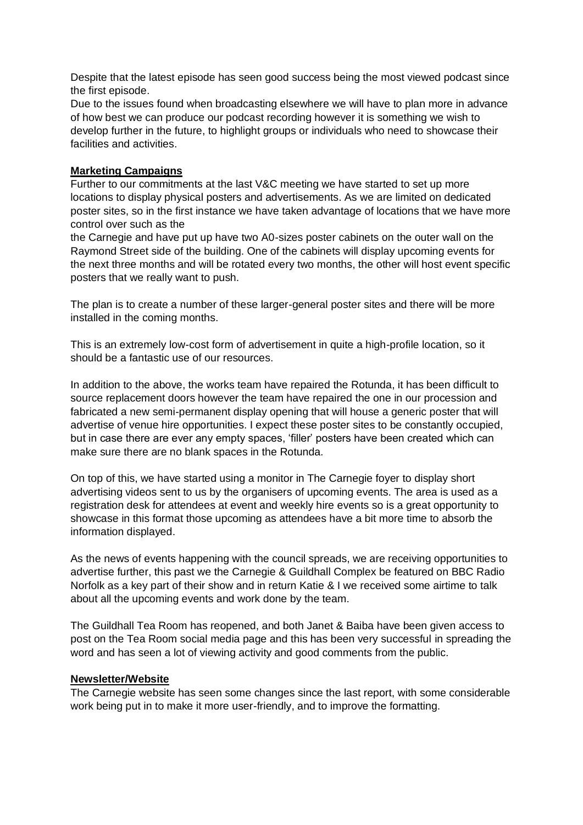Despite that the latest episode has seen good success being the most viewed podcast since the first episode.

Due to the issues found when broadcasting elsewhere we will have to plan more in advance of how best we can produce our podcast recording however it is something we wish to develop further in the future, to highlight groups or individuals who need to showcase their facilities and activities.

### **Marketing Campaigns**

Further to our commitments at the last V&C meeting we have started to set up more locations to display physical posters and advertisements. As we are limited on dedicated poster sites, so in the first instance we have taken advantage of locations that we have more control over such as the

the Carnegie and have put up have two A0-sizes poster cabinets on the outer wall on the Raymond Street side of the building. One of the cabinets will display upcoming events for the next three months and will be rotated every two months, the other will host event specific posters that we really want to push.

The plan is to create a number of these larger-general poster sites and there will be more installed in the coming months.

This is an extremely low-cost form of advertisement in quite a high-profile location, so it should be a fantastic use of our resources.

In addition to the above, the works team have repaired the Rotunda, it has been difficult to source replacement doors however the team have repaired the one in our procession and fabricated a new semi-permanent display opening that will house a generic poster that will advertise of venue hire opportunities. I expect these poster sites to be constantly occupied, but in case there are ever any empty spaces, 'filler' posters have been created which can make sure there are no blank spaces in the Rotunda.

On top of this, we have started using a monitor in The Carnegie foyer to display short advertising videos sent to us by the organisers of upcoming events. The area is used as a registration desk for attendees at event and weekly hire events so is a great opportunity to showcase in this format those upcoming as attendees have a bit more time to absorb the information displayed.

As the news of events happening with the council spreads, we are receiving opportunities to advertise further, this past we the Carnegie & Guildhall Complex be featured on BBC Radio Norfolk as a key part of their show and in return Katie & I we received some airtime to talk about all the upcoming events and work done by the team.

The Guildhall Tea Room has reopened, and both Janet & Baiba have been given access to post on the Tea Room social media page and this has been very successful in spreading the word and has seen a lot of viewing activity and good comments from the public.

#### **Newsletter/Website**

The Carnegie website has seen some changes since the last report, with some considerable work being put in to make it more user-friendly, and to improve the formatting.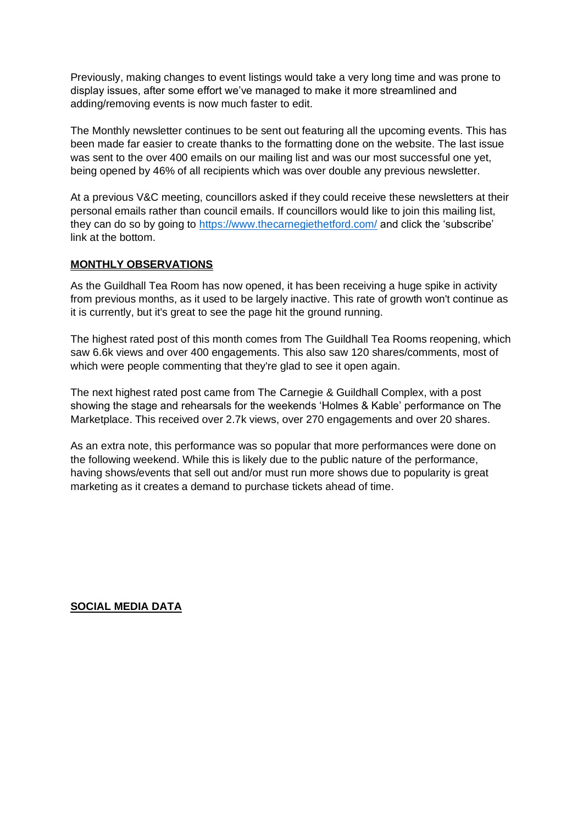Previously, making changes to event listings would take a very long time and was prone to display issues, after some effort we've managed to make it more streamlined and adding/removing events is now much faster to edit.

The Monthly newsletter continues to be sent out featuring all the upcoming events. This has been made far easier to create thanks to the formatting done on the website. The last issue was sent to the over 400 emails on our mailing list and was our most successful one yet, being opened by 46% of all recipients which was over double any previous newsletter.

At a previous V&C meeting, councillors asked if they could receive these newsletters at their personal emails rather than council emails. If councillors would like to join this mailing list, they can do so by going to<https://www.thecarnegiethetford.com/> and click the 'subscribe' link at the bottom.

## **MONTHLY OBSERVATIONS**

As the Guildhall Tea Room has now opened, it has been receiving a huge spike in activity from previous months, as it used to be largely inactive. This rate of growth won't continue as it is currently, but it's great to see the page hit the ground running.

The highest rated post of this month comes from The Guildhall Tea Rooms reopening, which saw 6.6k views and over 400 engagements. This also saw 120 shares/comments, most of which were people commenting that they're glad to see it open again.

The next highest rated post came from The Carnegie & Guildhall Complex, with a post showing the stage and rehearsals for the weekends 'Holmes & Kable' performance on The Marketplace. This received over 2.7k views, over 270 engagements and over 20 shares.

As an extra note, this performance was so popular that more performances were done on the following weekend. While this is likely due to the public nature of the performance, having shows/events that sell out and/or must run more shows due to popularity is great marketing as it creates a demand to purchase tickets ahead of time.

### **SOCIAL MEDIA DATA**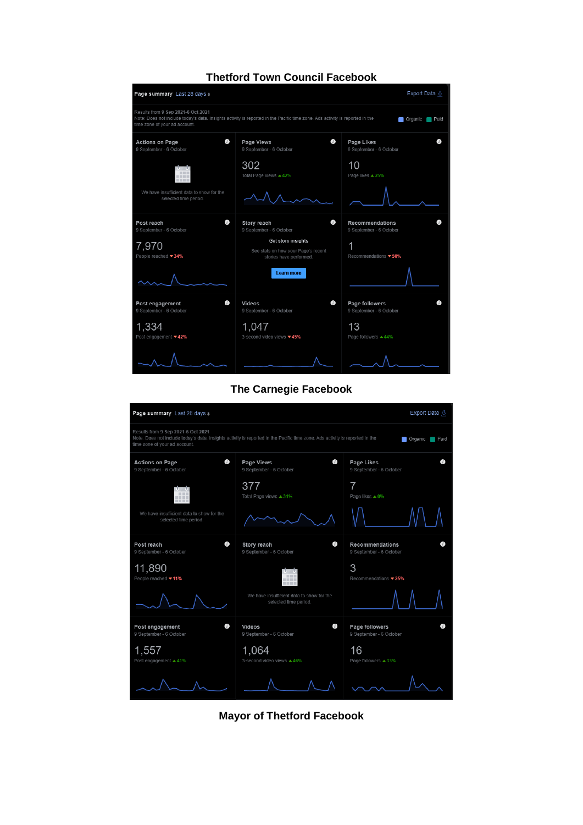

**Thetford Town Council Facebook**



**Mayor of Thetford Facebook**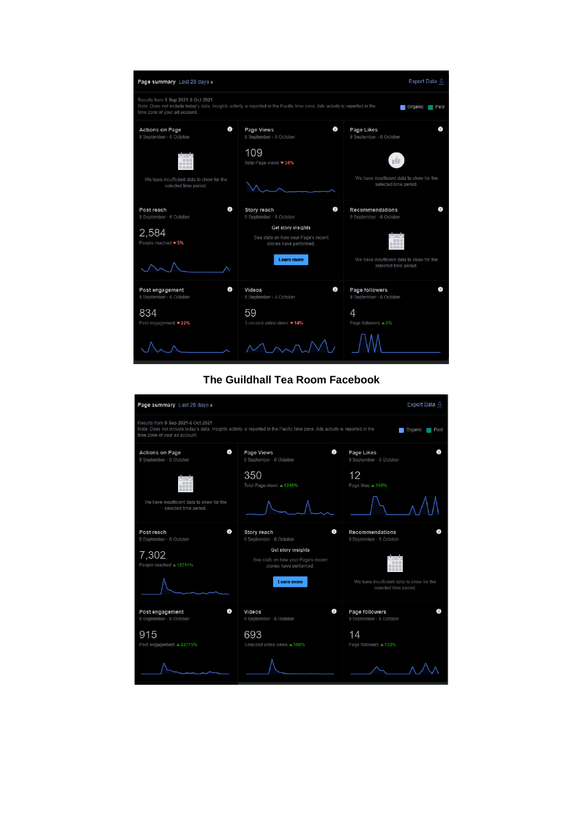

#### **The Guildhall Tea Room Facebook**

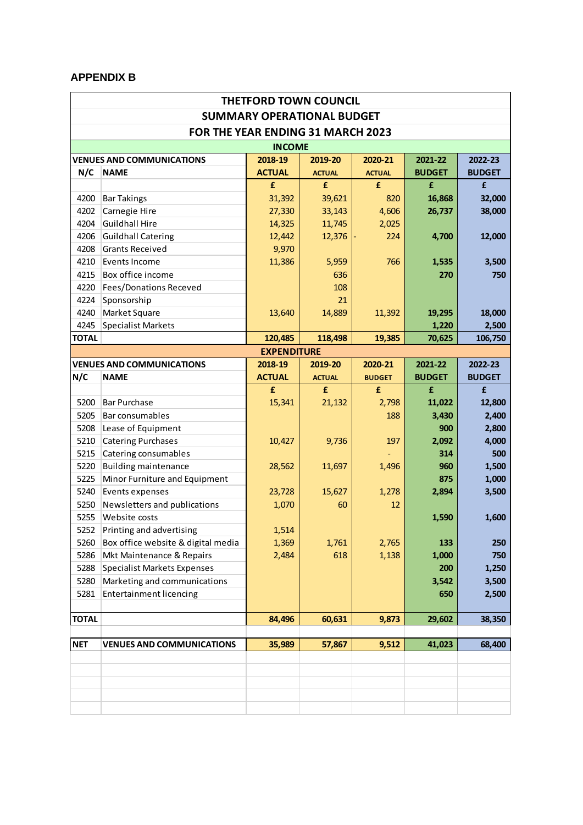### **APPENDIX B**

|              |                                    | <b>THETFORD TOWN COUNCIL</b>      |               |               |               |               |
|--------------|------------------------------------|-----------------------------------|---------------|---------------|---------------|---------------|
|              |                                    | <b>SUMMARY OPERATIONAL BUDGET</b> |               |               |               |               |
|              | FOR THE YEAR ENDING 31 MARCH 2023  |                                   |               |               |               |               |
|              |                                    | <b>INCOME</b>                     |               |               |               |               |
|              | <b>VENUES AND COMMUNICATIONS</b>   | 2018-19                           | 2019-20       | 2020-21       | 2021-22       | 2022-23       |
| N/C          | <b>NAME</b>                        | <b>ACTUAL</b>                     | <b>ACTUAL</b> | <b>ACTUAL</b> | <b>BUDGET</b> | <b>BUDGET</b> |
|              |                                    | £                                 | £             | £             | £             | £             |
| 4200         | <b>Bar Takings</b>                 | 31,392                            | 39,621        | 820           | 16,868        | 32,000        |
| 4202         | Carnegie Hire                      | 27,330                            | 33,143        | 4,606         | 26,737        | 38,000        |
| 4204         | <b>Guildhall Hire</b>              | 14,325                            | 11,745        | 2,025         |               |               |
| 4206         | <b>Guildhall Catering</b>          | 12,442                            | 12,376        | 224           | 4,700         | 12,000        |
| 4208         | <b>Grants Received</b>             | 9,970                             |               |               |               |               |
| 4210         | Events Income                      | 11,386                            | 5,959         | 766           | 1,535         | 3,500         |
| 4215         | Box office income                  |                                   | 636           |               | 270           | 750           |
| 4220         | <b>Fees/Donations Receved</b>      |                                   | 108           |               |               |               |
| 4224         | Sponsorship                        |                                   | 21            |               |               |               |
| 4240         | Market Square                      | 13,640                            | 14,889        | 11,392        | 19,295        | 18,000        |
| 4245         | <b>Specialist Markets</b>          |                                   |               |               | 1,220         | 2,500         |
| <b>TOTAL</b> |                                    | 120,485                           | 118,498       | 19,385        | 70,625        | 106,750       |
|              |                                    | <b>EXPENDITURE</b>                |               |               |               |               |
|              | <b>VENUES AND COMMUNICATIONS</b>   | 2018-19                           | 2019-20       | 2020-21       | 2021-22       | 2022-23       |
| N/C          | <b>NAME</b>                        | <b>ACTUAL</b>                     | <b>ACTUAL</b> | <b>BUDGET</b> | <b>BUDGET</b> | <b>BUDGET</b> |
|              |                                    | £                                 | £             | £             | £             | £             |
| 5200         | <b>Bar Purchase</b>                | 15,341                            | 21,132        | 2,798         | 11,022        | 12,800        |
| 5205         | Bar consumables                    |                                   |               | 188           | 3,430         | 2,400         |
| 5208         | Lease of Equipment                 |                                   |               |               | 900           | 2,800         |
| 5210         | <b>Catering Purchases</b>          | 10,427                            | 9,736         | 197           | 2,092         | 4,000         |
| 5215         | Catering consumables               |                                   |               |               | 314           | 500           |
| 5220         | <b>Building maintenance</b>        | 28,562                            | 11,697        | 1,496         | 960           | 1,500         |
| 5225         | Minor Furniture and Equipment      |                                   |               |               | 875           | 1,000         |
| 5240         | Events expenses                    | 23,728                            | 15,627        | 1,278         | 2,894         | 3,500         |
| 5250         | Newsletters and publications       | 1,070                             | 60            | 12            |               |               |
| 5255         | Website costs                      |                                   |               |               | 1,590         | 1,600         |
| 5252         | Printing and advertising           | 1.514                             |               |               |               |               |
| 5260         | Box office website & digital media | 1,369                             | 1,761         | 2,765         | 133           | 250           |
| 5286         | Mkt Maintenance & Repairs          | 2,484                             | 618           | 1,138         | 1,000         | 750           |
| 5288         | <b>Specialist Markets Expenses</b> |                                   |               |               | 200           | 1,250         |
| 5280         | Marketing and communications       |                                   |               |               | 3,542         | 3,500         |
| 5281         | <b>Entertainment licencing</b>     |                                   |               |               | 650           | 2,500         |
| <b>TOTAL</b> |                                    | 84,496                            | 60,631        | 9,873         | 29,602        | 38,350        |
| <b>NET</b>   |                                    |                                   |               | 9,512         | 41,023        | 68,400        |
|              | <b>VENUES AND COMMUNICATIONS</b>   | 35,989                            | 57,867        |               |               |               |
|              |                                    |                                   |               |               |               |               |
|              |                                    |                                   |               |               |               |               |
|              |                                    |                                   |               |               |               |               |
|              |                                    |                                   |               |               |               |               |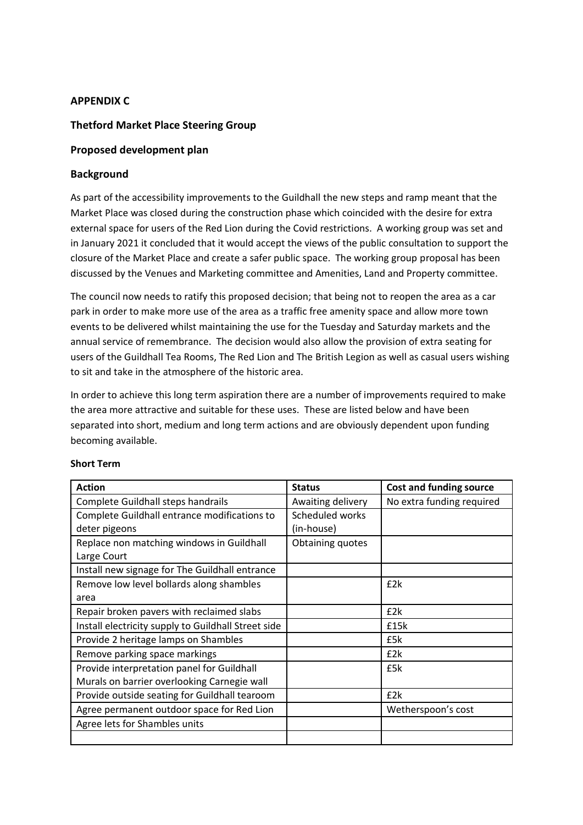### **APPENDIX C**

#### **Thetford Market Place Steering Group**

#### **Proposed development plan**

#### **Background**

As part of the accessibility improvements to the Guildhall the new steps and ramp meant that the Market Place was closed during the construction phase which coincided with the desire for extra external space for users of the Red Lion during the Covid restrictions. A working group was set and in January 2021 it concluded that it would accept the views of the public consultation to support the closure of the Market Place and create a safer public space. The working group proposal has been discussed by the Venues and Marketing committee and Amenities, Land and Property committee.

The council now needs to ratify this proposed decision; that being not to reopen the area as a car park in order to make more use of the area as a traffic free amenity space and allow more town events to be delivered whilst maintaining the use for the Tuesday and Saturday markets and the annual service of remembrance. The decision would also allow the provision of extra seating for users of the Guildhall Tea Rooms, The Red Lion and The British Legion as well as casual users wishing to sit and take in the atmosphere of the historic area.

In order to achieve this long term aspiration there are a number of improvements required to make the area more attractive and suitable for these uses. These are listed below and have been separated into short, medium and long term actions and are obviously dependent upon funding becoming available.

| <b>Action</b>                                       | <b>Status</b>     | <b>Cost and funding source</b> |
|-----------------------------------------------------|-------------------|--------------------------------|
| Complete Guildhall steps handrails                  | Awaiting delivery | No extra funding required      |
| Complete Guildhall entrance modifications to        | Scheduled works   |                                |
| deter pigeons                                       | (in-house)        |                                |
| Replace non matching windows in Guildhall           | Obtaining quotes  |                                |
| Large Court                                         |                   |                                |
| Install new signage for The Guildhall entrance      |                   |                                |
| Remove low level bollards along shambles            |                   | £2k                            |
| area                                                |                   |                                |
| Repair broken pavers with reclaimed slabs           |                   | £2k                            |
| Install electricity supply to Guildhall Street side |                   | £15k                           |
| Provide 2 heritage lamps on Shambles                |                   | £5k                            |
| Remove parking space markings                       |                   | £2k                            |
| Provide interpretation panel for Guildhall          |                   | £5k                            |
| Murals on barrier overlooking Carnegie wall         |                   |                                |
| Provide outside seating for Guildhall tearoom       |                   | E2k                            |
| Agree permanent outdoor space for Red Lion          |                   | Wetherspoon's cost             |
| Agree lets for Shambles units                       |                   |                                |
|                                                     |                   |                                |

#### **Short Term**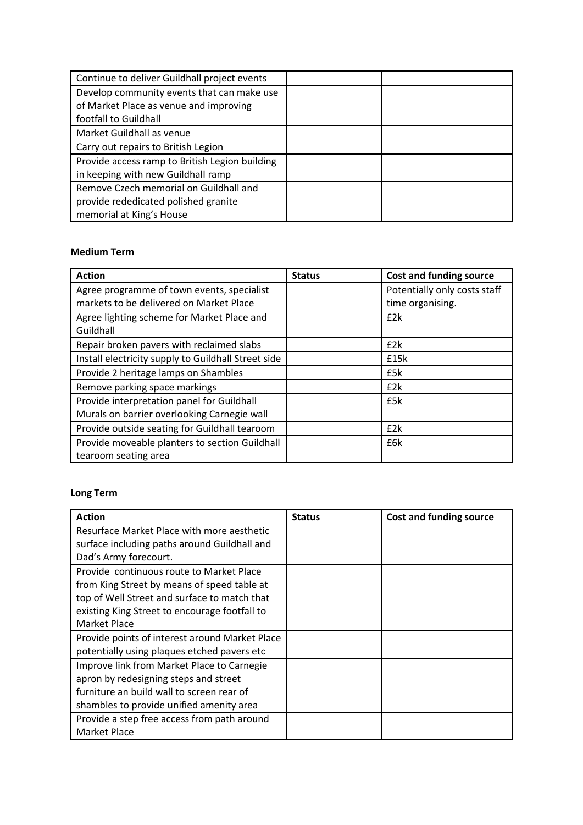| Continue to deliver Guildhall project events   |  |
|------------------------------------------------|--|
| Develop community events that can make use     |  |
| of Market Place as venue and improving         |  |
| footfall to Guildhall                          |  |
| Market Guildhall as venue                      |  |
| Carry out repairs to British Legion            |  |
| Provide access ramp to British Legion building |  |
| in keeping with new Guildhall ramp             |  |
| Remove Czech memorial on Guildhall and         |  |
| provide rededicated polished granite           |  |
| memorial at King's House                       |  |

### **Medium Term**

| <b>Action</b>                                       | <b>Status</b> | <b>Cost and funding source</b> |
|-----------------------------------------------------|---------------|--------------------------------|
| Agree programme of town events, specialist          |               | Potentially only costs staff   |
| markets to be delivered on Market Place             |               | time organising.               |
| Agree lighting scheme for Market Place and          |               | f2k                            |
| Guildhall                                           |               |                                |
| Repair broken pavers with reclaimed slabs           |               | E2k                            |
| Install electricity supply to Guildhall Street side |               | £15k                           |
| Provide 2 heritage lamps on Shambles                |               | £5k                            |
| Remove parking space markings                       |               | E2k                            |
| Provide interpretation panel for Guildhall          |               | £5k                            |
| Murals on barrier overlooking Carnegie wall         |               |                                |
| Provide outside seating for Guildhall tearoom       |               | E2k                            |
| Provide moveable planters to section Guildhall      |               | £6k                            |
| tearoom seating area                                |               |                                |

# **Long Term**

| <b>Action</b>                                  | <b>Status</b> | <b>Cost and funding source</b> |
|------------------------------------------------|---------------|--------------------------------|
| Resurface Market Place with more aesthetic     |               |                                |
| surface including paths around Guildhall and   |               |                                |
| Dad's Army forecourt.                          |               |                                |
| Provide continuous route to Market Place       |               |                                |
| from King Street by means of speed table at    |               |                                |
| top of Well Street and surface to match that   |               |                                |
| existing King Street to encourage footfall to  |               |                                |
| Market Place                                   |               |                                |
| Provide points of interest around Market Place |               |                                |
| potentially using plaques etched pavers etc    |               |                                |
| Improve link from Market Place to Carnegie     |               |                                |
| apron by redesigning steps and street          |               |                                |
| furniture an build wall to screen rear of      |               |                                |
| shambles to provide unified amenity area       |               |                                |
| Provide a step free access from path around    |               |                                |
| Market Place                                   |               |                                |